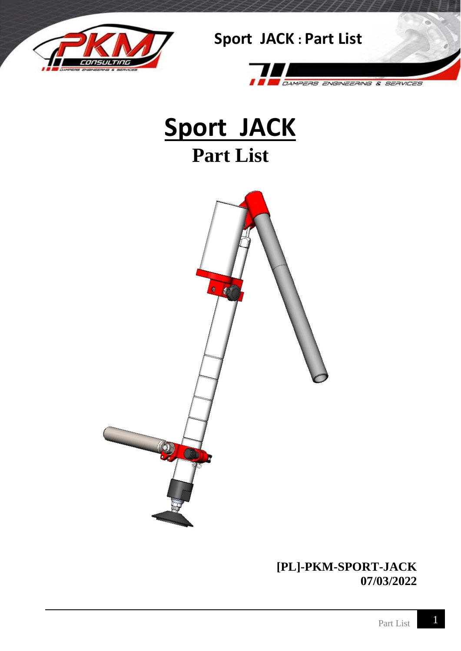







#### **[PL]-PKM-SPORT-JACK 07/03/2022**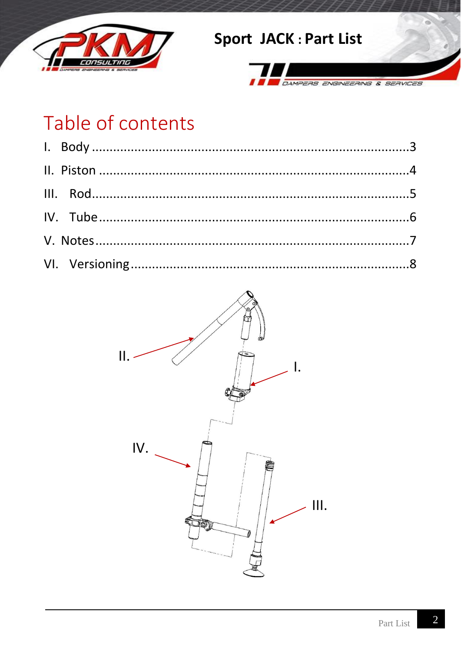



# Table of contents

<span id="page-1-0"></span>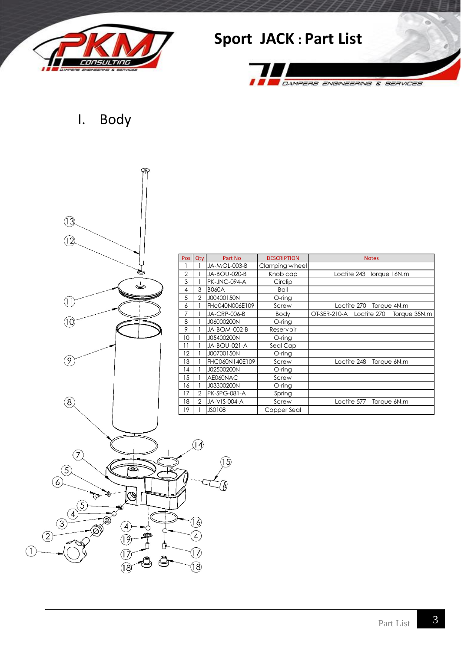

DAMPERS ENGINEERING & SERVICES

I. Body



| Pos               | Qty | Part No             | <b>DESCRIPTION</b> | <b>Notes</b>                                |
|-------------------|-----|---------------------|--------------------|---------------------------------------------|
|                   |     | JA-MOL-003-B        | Clamping wheel     |                                             |
| 2                 |     | JA-BOU-020-B        | Knob cap           | Loctite 243 Torque 16N.m                    |
| 3                 |     | PK-JNC-094-A        | Circlip            |                                             |
| 4                 | 3   | <b>B060A</b>        | Ball               |                                             |
| 5                 | 2   | J00400150N          | $O$ -ring          |                                             |
| 6                 |     | FHC040N006E109      | Screw              | Loctite 270<br>Torque 4N.m                  |
| 7                 |     | JA-CRP-006-B        | <b>Body</b>        | OT-SER-210-A<br>Loctite 270<br>Torque 35N.m |
| 8                 |     | J06000200N          | O-ring             |                                             |
| 9                 |     | JA-BOM-002-B        | <b>Reservoir</b>   |                                             |
| 10                |     | J05400200N          | O-ring             |                                             |
| 11                |     | JA-BOU-021-A        | Seal Cap           |                                             |
| $12 \overline{ }$ |     | J00700150N          | O-ring             |                                             |
| 13                |     | FHC060N140E109      | Screw              | Loctite 248<br>Torque 6N.m                  |
| 14                |     | J02500200N          | O-ring             |                                             |
| 15                |     | AE060NAC            | Screw              |                                             |
| 16                |     | J03300200N          | O-ring             |                                             |
| 17                | 2   | PK-SPG-081-A        | Spring             |                                             |
| 18                | 2   | <b>JA-VIS-004-A</b> | Screw              | Loctite 577<br>Torque 6N.m                  |
| 19                |     | JS0108              | Copper Seal        |                                             |

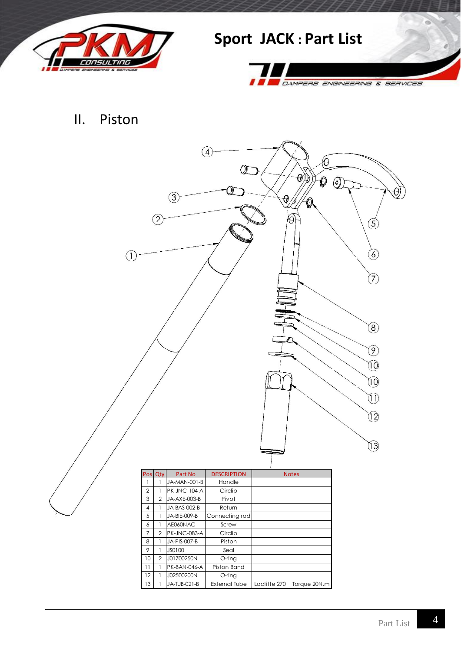



#### II. Piston

<span id="page-3-0"></span>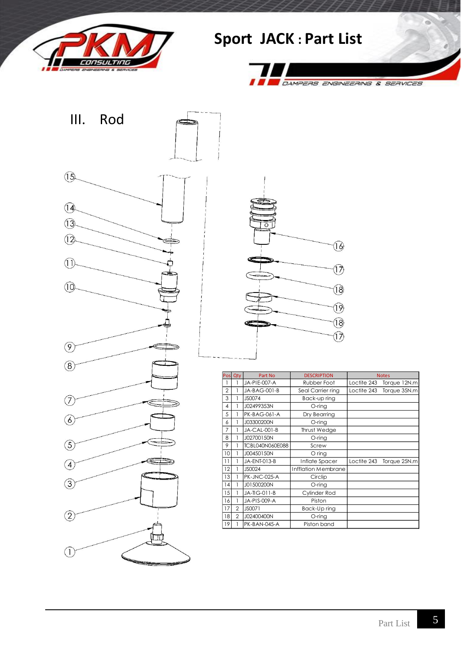



<span id="page-4-0"></span>



| Pos            | Qty            | Part No                | <b>DESCRIPTION</b>  | <b>Notes</b> |              |
|----------------|----------------|------------------------|---------------------|--------------|--------------|
|                | 1              | JA-PIE-007-A           | Rubber Foot         | Loctite 243  | Torque 12N.m |
| $\overline{2}$ | 1              | JA-BAG-001-B           | Seal Carrier ring   | Loctite 243  | Torque 35N.m |
| 3              | 1              | JS0074                 | Back-up ring        |              |              |
| 4              | 1              | J02499353N             | O-ring              |              |              |
| 5              | 1              | <b>PK-BAG-061-A</b>    | Dry Bearring        |              |              |
| 6              | 1              | J03300200N             | O-ring              |              |              |
| 7              | 1              | JA-CAL-001-B           | Thrust Wedge        |              |              |
| 8              | 1              | J02700150N             | O-ring              |              |              |
| 9              | 1              | <b>TCBL040N060E088</b> | Screw               |              |              |
| 10             | 1              | J00450150N             | O ring              |              |              |
| 11             | 1              | JA-ENT-013-B           | Inflate Spacer      | Loctite 243  | Torque 25N.m |
| 12             | 1              | JS0024                 | Infflation Membrane |              |              |
| 13             | 1              | PK-JNC-025-A           | Circlip             |              |              |
| 14             | 1              | J01500200N             | O-ring              |              |              |
| 15             | 1              | JA-TG-011-B            | Cylinder Rod        |              |              |
| 16             | 1              | JA-PIS-009-A           | Piston              |              |              |
| 17             | $\overline{2}$ | JS0071                 | Back-Up ring        |              |              |
| 18             | $\overline{2}$ | J02400400N             | O-ring              |              |              |
| 19             |                | PK-BAN-045-A           | Piston band         |              |              |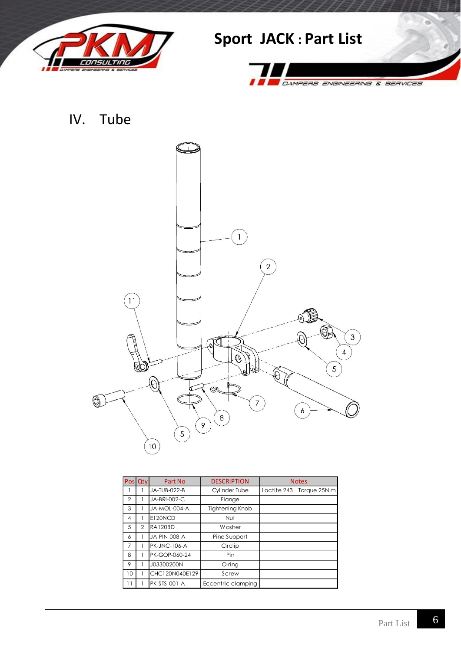



<span id="page-5-0"></span>IV. Tube



|    | Pos Qty | Part No             | <b>DESCRIPTION</b>     | <b>Notes</b> |                          |
|----|---------|---------------------|------------------------|--------------|--------------------------|
|    |         | JA-TUB-022-B        | <b>Cylinder Tube</b>   |              | Loctite 243 Torque 25N.m |
| 2  |         | JA-BRI-002-C        | Flange                 |              |                          |
| 3  |         | JA-MOL-004-A        | <b>Tightening Knob</b> |              |                          |
| 4  |         | E120NCD             | Nut                    |              |                          |
| 5  | 2       | <b>RA120BD</b>      | W asher                |              |                          |
| 6  |         | JA-PIN-008-A        | Pine Support           |              |                          |
| 7  |         | <b>PK-JNC-106-A</b> | Circlip                |              |                          |
| 8  |         | PK-GOP-060-24       | Pin                    |              |                          |
| 9  |         | J03300200N          | O-ring                 |              |                          |
| 10 |         | CHC120N040E129      | Screw                  |              |                          |
|    |         | <b>PK-STS-001-A</b> | Eccentric clamping     |              |                          |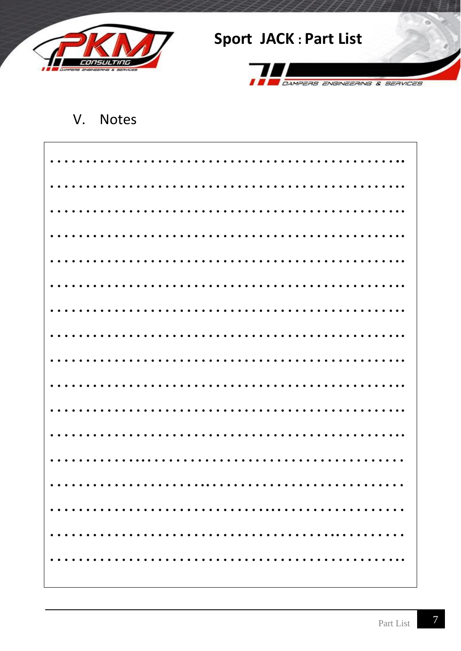



#### <span id="page-6-0"></span>**Notes** V.

| .                                      |  |
|----------------------------------------|--|
| $\bullet\quad\bullet\quad\bullet\quad$ |  |
|                                        |  |
|                                        |  |

7